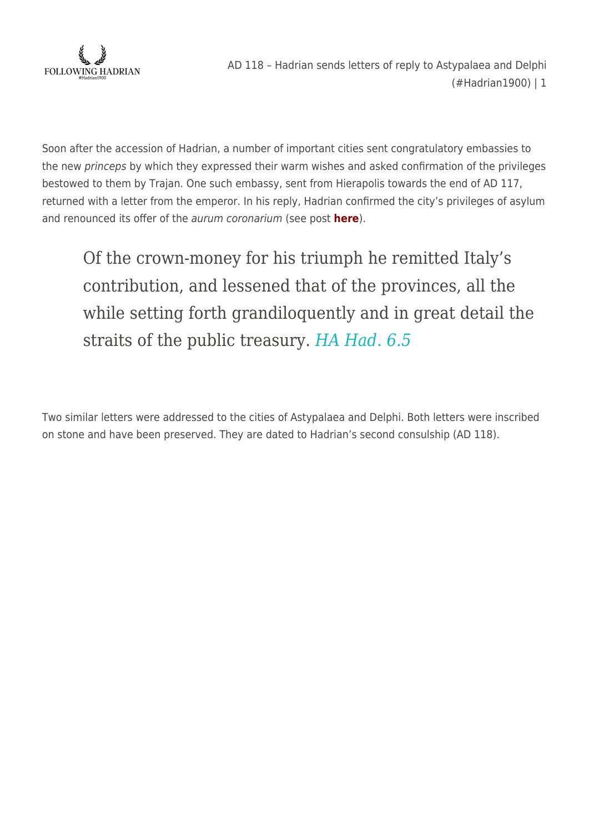

Soon after the accession of Hadrian, a number of important cities sent congratulatory embassies to the new princeps by which they expressed their warm wishes and asked confirmation of the privileges bestowed to them by Trajan. One such embassy, sent from Hierapolis towards the end of AD 117, returned with a letter from the emperor. In his reply, Hadrian confirmed the city's privileges of asylum and renounced its offer of the aurum coronarium (see post **[here](https://followinghadrian.com/2017/12/04/end-of-117-ad-hadrian-sends-a-letter-of-reply-to-hierapolis-hadrian1900/)**).

Of the crown-money for his triumph he remitted Italy's contribution, and lessened that of the provinces, all the while setting forth grandiloquently and in great detail the straits of the public treasury. *[HA Had. 6.5](http://penelope.uchicago.edu/Thayer/E/Roman/Texts/Historia_Augusta/Hadrian/1*.html#ref57)*

Two similar letters were addressed to the cities of Astypalaea and Delphi. Both letters were inscribed on stone and have been preserved. They are dated to Hadrian's second consulship (AD 118).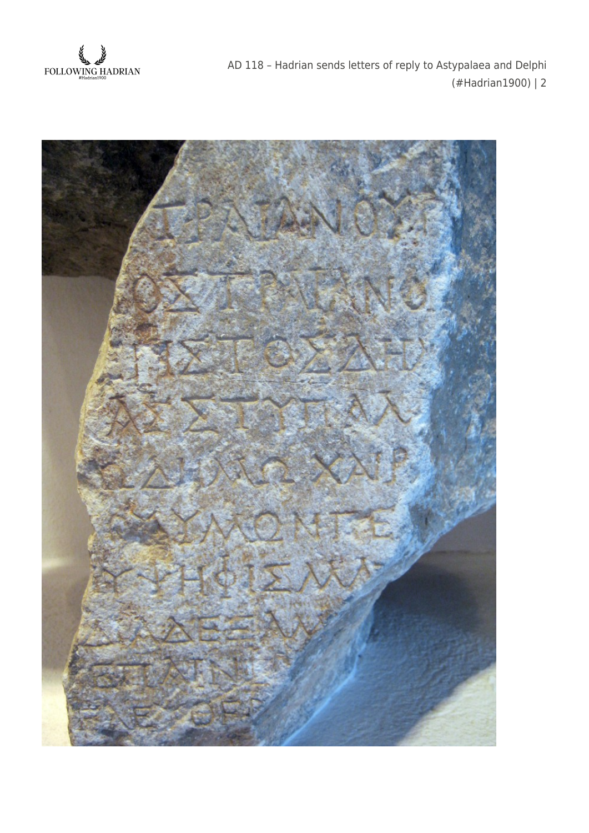

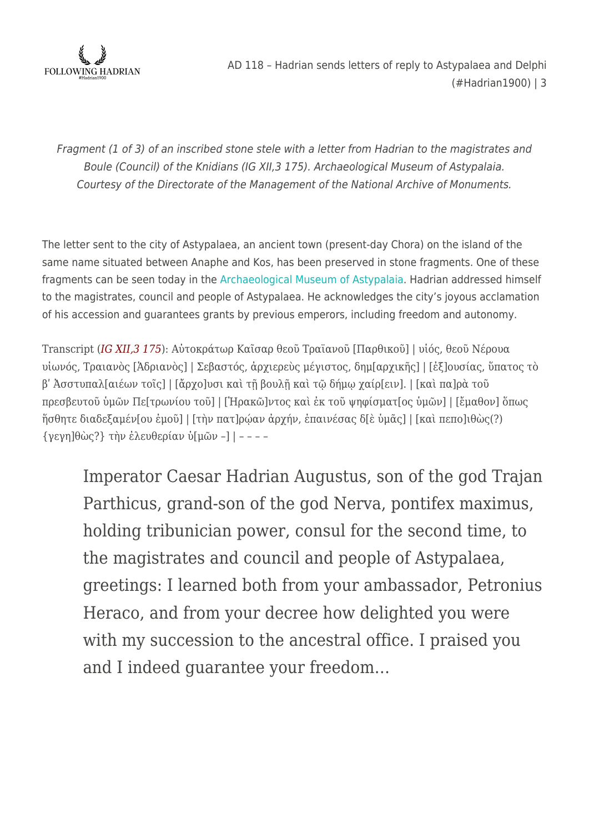

Fragment (1 of 3) of an inscribed stone stele with a letter from Hadrian to the magistrates and Boule (Council) of the Knidians (IG XII,3 175). Archaeological Museum of Astypalaia. Courtesy of the Directorate of the Management of the National Archive of Monuments.

The letter sent to the city of Astypalaea, an ancient town (present‐day Chora) on the island of the same name situated between Anaphe and Kos, has been preserved in stone fragments. One of these fragments can be seen today in the [Archaeological Museum of Astypalaia](https://www.gtp.gr/TDirectoryDetails.asp?ID=4309). Hadrian addressed himself to the magistrates, council and people of Astypalaea. He acknowledges the city's joyous acclamation of his accession and guarantees grants by previous emperors, including freedom and autonomy.

Transcript (*[IG XII,3 175](https://droitromain.univ-grenoble-alpes.fr/Constitutiones/Astypalaeensibus.gr.html)*): Αὐτοκράτωρ Καῖσαρ θεοῦ Τραϊανοῦ [Παρθικοῦ] | υἱός, θεοῦ Νέρουα υἱωνός, Τραιανὸς [Ἁδριανὸς] | Σεβαστός, ἀρχιερεὺς μέγιστος, δημ[αρχικῆς] | [ἐξ]ουσίας, ὕπατος τὸ βʹ Ἀσστυπαλ[αιέων τοῖς] | [ἄρχο]υσι καὶ τῇ βουλῇ καὶ τῷ δήμῳ χαίρ[ειν]. | [καὶ πα]ρὰ τοῦ πρεσβευτοῦ ὑμῶν Πε[τρωνίου τοῦ] | [Ἡρακῶ]ντος καὶ ἐκ τοῦ ψηφίσματ[ος ὑμῶν] | [ἔμαθον] ὅπως ἥσθητε διαδεξαμέν[ου ἐμοῦ] | [τὴν πατ]ρῴαν ἀρχήν, ἐπαινέσας δ[ὲ ὑμᾶς] | [καὶ πεπο]ιθὼς(?) {γεγη]θὼς?} τὴν ἐλευθερίαν ὑ[μῶν –] | – – – –

Imperator Caesar Hadrian Augustus, son of the god Trajan Parthicus, grand-son of the god Nerva, pontifex maximus, holding tribunician power, consul for the second time, to the magistrates and council and people of Astypalaea, greetings: I learned both from your ambassador, Petronius Heraco, and from your decree how delighted you were with my succession to the ancestral office. I praised you and I indeed guarantee your freedom…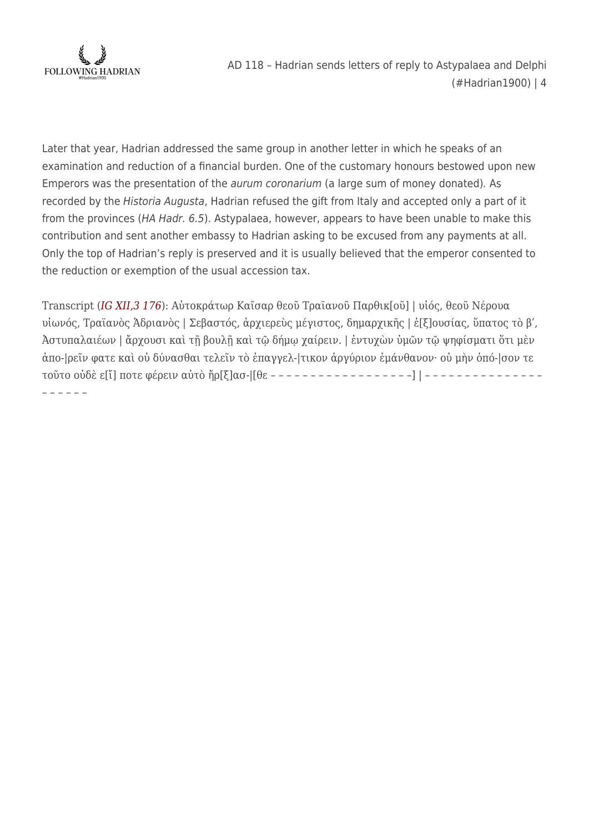

Later that year, Hadrian addressed the same group in another letter in which he speaks of an examination and reduction of a financial burden. One of the customary honours bestowed upon new Emperors was the presentation of the aurum coronarium (a large sum of money donated). As recorded by the Historia Augusta, Hadrian refused the gift from Italy and accepted only a part of it from the provinces (HA Hadr. 6.5). Astypalaea, however, appears to have been unable to make this contribution and sent another embassy to Hadrian asking to be excused from any payments at all. Only the top of Hadrian's reply is preserved and it is usually believed that the emperor consented to the reduction or exemption of the usual accession tax.

Transcript (*[IG XII,3 176](https://droitromain.univ-grenoble-alpes.fr/Constitutiones/Astypalaeensibus1.gr.html)*): Αὐτοκράτωρ Καῖσαρ θεοῦ Τραϊανοῦ Παρθικ[οῦ] | υἱός, θεοῦ Νέρουα υἱωνός, Τραϊανὸς Ἁδριανὸς | Σεβαστός, ἀρχιερεὺς μέγιστος, δημαρχικῆς | ἐ[ξ]ουσίας, ὕπατος τὸ βʹ, Ἀστυπαλαιέων | ἄρχουσι καὶ τῇ βουλῇ καὶ τῷ δήμῳ χαίρειν. | ἐντυχὼν ὑμῶν τῷ ψηφίσματι ὅτι μὲν ἀπο-|ρεῖν φατε καὶ οὐ δύνασθαι τελεῖν τὸ ἐπαγγελ-|τικον ἀργύριον ἐμάνθανον· οὐ μὴν ὁπό-|σον τε τοῦτο οὐδὲ ε[ἴ] ποτε φέρειν αὐτὸ ἤρ[ξ]ασ-|[θε – – – – – – – – – – – – – – – – – –] | – – – – – – – – – – – – – – – – – – – – –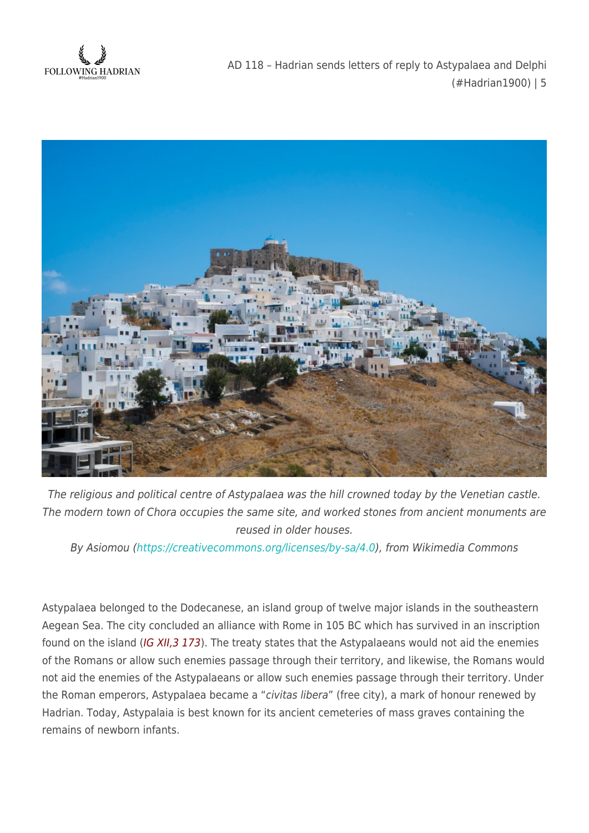



The religious and political centre of Astypalaea was the hill crowned today by the Venetian castle. The modern town of Chora occupies the same site, and worked stones from ancient monuments are reused in older houses.

By Asiomou [\(https://creativecommons.org/licenses/by-sa/4.0\)](https://creativecommons.org/licenses/by-sa/4.0), from Wikimedia Commons

Astypalaea belonged to the Dodecanese, an island group of twelve major islands in the southeastern Aegean Sea. The city concluded an alliance with Rome in 105 BC which has survived in an inscription found on the island (IG XII, 3 173). The treaty states that the Astypalaeans would not aid the enemies of the Romans or allow such enemies passage through their territory, and likewise, the Romans would not aid the enemies of the Astypalaeans or allow such enemies passage through their territory. Under the Roman emperors, Astypalaea became a "civitas libera" (free city), a mark of honour renewed by Hadrian. Today, Astypalaia is best known for its ancient cemeteries of mass graves containing the remains of newborn infants.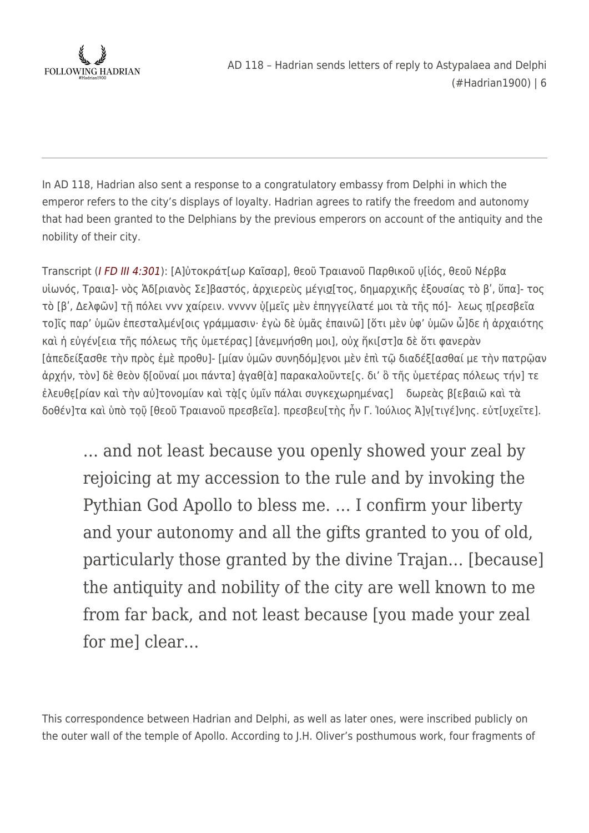

In AD 118, Hadrian also sent a response to a congratulatory embassy from Delphi in which the emperor refers to the city's displays of loyalty. Hadrian agrees to ratify the freedom and autonomy that had been granted to the Delphians by the previous emperors on account of the antiquity and the nobility of their city.

Transcript (*[I FD III 4:301](https://epigraphy.packhum.org/text/240491?bookid=452&location=252)*): [Α]ὐτοκράτ[ωρ Καῖσαρ], θεοῦ Τραιανοῦ Παρθικοῦ υ[ἱός, θεοῦ Νέρβα υἱωνός, Τραια]- νὸς Ἁδ[ριανὸς Σε]βαστός, ἀρχιερεὺς μέγισ[τος, δημαρχικῆς ἐξουσίας τὸ βʹ, ὕπα]- τος τὸ [βʹ, Δελφῶν] τῇ πόλει vvv χαίρειν. vvvvv ὑ̣[μεῖς μὲν ἐπηγγείλατέ μοι τὰ τῆς πό]- λεως π̣[ρεσβεῖα το]ῖς παρ' ὑμῶν ἐπεσταλμέν[οις γράμμασιν· ἐγὼ δὲ ὑμᾶς ἐπαινῶ] [ὅτι μὲν ὑφ' ὑμῶν ὧ]δε ἡ ἀρχαιότης καὶ ἡ εὐγέν[εια τῆς πόλεως τῆς ὑμετέρας] [ἀνεμνήσθη μοι], οὐχ ἥκι[στ]α δὲ ὅτι φανερὰν [ἀπεδείξασθε τὴν πρὸς ἐμὲ προθυ]- [μίαν ὑμῶν συνηδόμ]ε̣νοι μὲν ἐπὶ τῷ διαδέξ[ασθαί με τὴν πατρῷαν ἀρχήν, τὸν] δὲ θεὸν δ̣[οῦναί μοι πάντα] ἀ̣γ̣αθ[ὰ] παρακαλοῦντε[ς. δι' ὃ τῆς ὑμετέρας πόλεως τήν] τε ἐλευθε̣[ρίαν καὶ τὴν αὐ]τονομίαν καὶ τὰ̣[ς ὑμῖν πάλαι συγκεχωρημένας] δωρεὰς β[εβαιῶ καὶ τὰ δοθέν]τα καὶ ὑπὸ το̣ῦ̣ [θεοῦ Τραιανοῦ πρεσβεῖα]. πρεσβευ[τὴς ἦν Γ. Ἰούλιος Ἀ]ν̣[τιγέ]νης. εὐτ[υχεῖτε].

… and not least because you openly showed your zeal by rejoicing at my accession to the rule and by invoking the Pythian God Apollo to bless me. … I confirm your liberty and your autonomy and all the gifts granted to you of old, particularly those granted by the divine Trajan… [because] the antiquity and nobility of the city are well known to me from far back, and not least because [you made your zeal for me] clear…

This correspondence between Hadrian and Delphi, as well as later ones, were inscribed publicly on the outer wall of the temple of Apollo. According to J.H. Oliver's posthumous work, four fragments of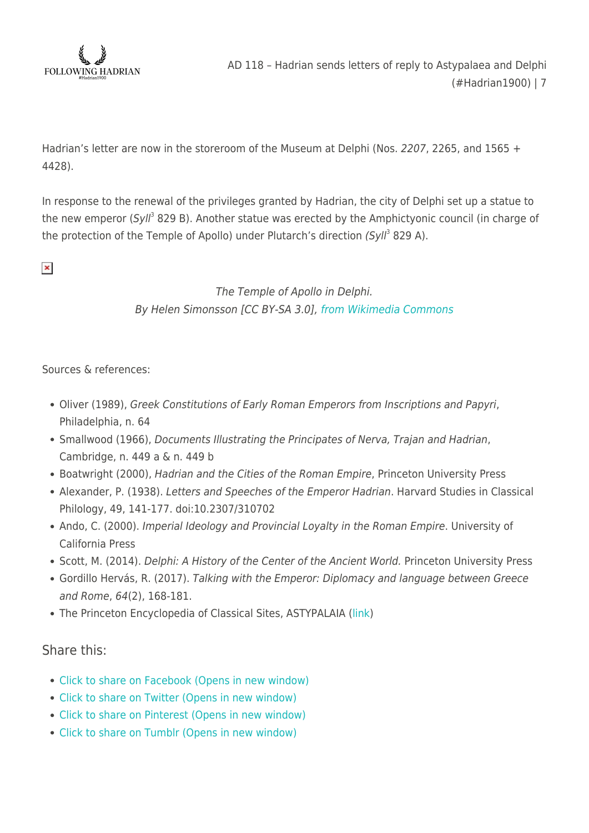

Hadrian's letter are now in the storeroom of the Museum at Delphi (Nos. 2207, 2265, and 1565 + 4428).

In response to the renewal of the privileges granted by Hadrian, the city of Delphi set up a statue to the new emperor (Syll<sup>3</sup> 829 B). Another statue was erected by the Amphictyonic council (in charge of the protection of the Temple of Apollo) under Plutarch's direction (Syll<sup>3</sup> 829 A).

## $\pmb{\times}$

The Temple of Apollo in Delphi. By Helen Simonsson [CC BY-SA 3.0], [from Wikimedia Commons](https://commons.wikimedia.org/wiki/File:Delfi_Apollons_tempel.jpg)

## Sources & references:

- Oliver (1989), Greek Constitutions of Early Roman Emperors from Inscriptions and Papyri, Philadelphia, n. 64
- Smallwood (1966), Documents Illustrating the Principates of Nerva, Trajan and Hadrian, Cambridge, n. 449 a & n. 449 b
- Boatwright (2000), Hadrian and the Cities of the Roman Empire, Princeton University Press
- Alexander, P. (1938). Letters and Speeches of the Emperor Hadrian. Harvard Studies in Classical Philology, 49, 141-177. doi:10.2307/310702
- Ando, C. (2000). Imperial Ideology and Provincial Loyalty in the Roman Empire. University of California Press
- Scott, M. (2014). Delphi: A History of the Center of the Ancient World. Princeton University Press
- Gordillo Hervás, R. (2017). Talking with the Emperor: Diplomacy and language between Greece and Rome, 64(2), 168-181.
- The Princeton Encyclopedia of Classical Sites, ASTYPALAIA [\(link\)](http://www.perseus.tufts.edu/hopper/text?doc=Perseus%3Atext%3A1999.04.0006%3Aentry%3Dastypalaia)

## Share this:

- [Click to share on Facebook \(Opens in new window\)](https://followinghadrian.com/2018/05/02/118-ad-hadrian-sends-letters-of-reply-to-astypalaea-and-delphi-hadrian1900/?share=facebook)
- [Click to share on Twitter \(Opens in new window\)](https://followinghadrian.com/2018/05/02/118-ad-hadrian-sends-letters-of-reply-to-astypalaea-and-delphi-hadrian1900/?share=twitter)
- [Click to share on Pinterest \(Opens in new window\)](https://followinghadrian.com/2018/05/02/118-ad-hadrian-sends-letters-of-reply-to-astypalaea-and-delphi-hadrian1900/?share=pinterest)
- [Click to share on Tumblr \(Opens in new window\)](https://followinghadrian.com/2018/05/02/118-ad-hadrian-sends-letters-of-reply-to-astypalaea-and-delphi-hadrian1900/?share=tumblr)